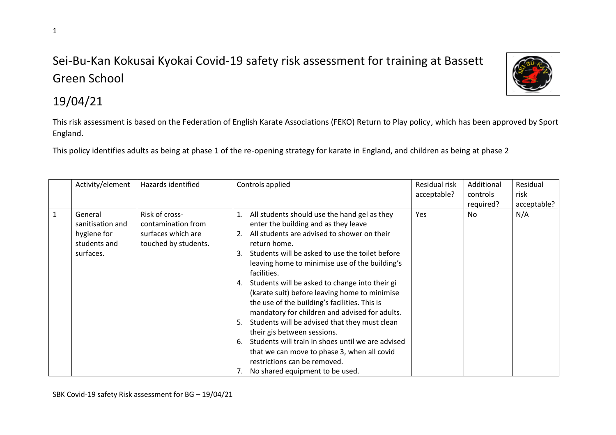## Sei-Bu-Kan Kokusai Kyokai Covid-19 safety risk assessment for training at Bassett Green School



## 19/04/21

This risk assessment is based on the Federation of English Karate Associations (FEKO) Return to Play policy, which has been approved by Sport England.

This policy identifies adults as being at phase 1 of the re-opening strategy for karate in England, and children as being at phase 2

|              | Activity/element                                                        | Hazards identified                                                                 | Controls applied                                                                                                                                                                                                                                                                                                                                                                                                                                                                                                                                                                                                                                                                                                                                          | Residual risk<br>acceptable? | Additional<br>controls | Residual<br>risk |
|--------------|-------------------------------------------------------------------------|------------------------------------------------------------------------------------|-----------------------------------------------------------------------------------------------------------------------------------------------------------------------------------------------------------------------------------------------------------------------------------------------------------------------------------------------------------------------------------------------------------------------------------------------------------------------------------------------------------------------------------------------------------------------------------------------------------------------------------------------------------------------------------------------------------------------------------------------------------|------------------------------|------------------------|------------------|
|              |                                                                         |                                                                                    |                                                                                                                                                                                                                                                                                                                                                                                                                                                                                                                                                                                                                                                                                                                                                           |                              | required?              | acceptable?      |
| $\mathbf{1}$ | General<br>sanitisation and<br>hygiene for<br>students and<br>surfaces. | Risk of cross-<br>contamination from<br>surfaces which are<br>touched by students. | 1. All students should use the hand gel as they<br>enter the building and as they leave<br>2. All students are advised to shower on their<br>return home.<br>3. Students will be asked to use the toilet before<br>leaving home to minimise use of the building's<br>facilities.<br>4. Students will be asked to change into their gi<br>(karate suit) before leaving home to minimise<br>the use of the building's facilities. This is<br>mandatory for children and advised for adults.<br>5. Students will be advised that they must clean<br>their gis between sessions.<br>Students will train in shoes until we are advised<br>6.<br>that we can move to phase 3, when all covid<br>restrictions can be removed.<br>No shared equipment to be used. | Yes                          | No                     | N/A              |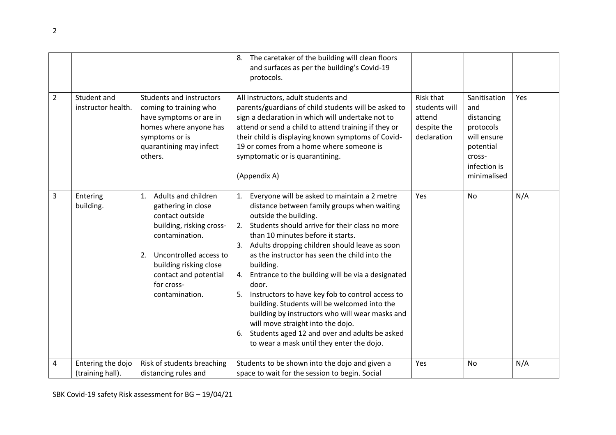|   |                                       |                                                                                                                                                                                                                                     | 8. The caretaker of the building will clean floors<br>and surfaces as per the building's Covid-19<br>protocols.                                                                                                                                                                                                                                                                                                                                                                                                                                                                                                                                                                                                  |                                                                    |                                                                                                                     |     |
|---|---------------------------------------|-------------------------------------------------------------------------------------------------------------------------------------------------------------------------------------------------------------------------------------|------------------------------------------------------------------------------------------------------------------------------------------------------------------------------------------------------------------------------------------------------------------------------------------------------------------------------------------------------------------------------------------------------------------------------------------------------------------------------------------------------------------------------------------------------------------------------------------------------------------------------------------------------------------------------------------------------------------|--------------------------------------------------------------------|---------------------------------------------------------------------------------------------------------------------|-----|
| 2 | Student and<br>instructor health.     | Students and instructors<br>coming to training who<br>have symptoms or are in<br>homes where anyone has<br>symptoms or is<br>quarantining may infect<br>others.                                                                     | All instructors, adult students and<br>parents/guardians of child students will be asked to<br>sign a declaration in which will undertake not to<br>attend or send a child to attend training if they or<br>their child is displaying known symptoms of Covid-<br>19 or comes from a home where someone is<br>symptomatic or is quarantining.<br>(Appendix A)                                                                                                                                                                                                                                                                                                                                                    | Risk that<br>students will<br>attend<br>despite the<br>declaration | Sanitisation<br>and<br>distancing<br>protocols<br>will ensure<br>potential<br>cross-<br>infection is<br>minimalised | Yes |
| 3 | Entering<br>building.                 | Adults and children<br>1.<br>gathering in close<br>contact outside<br>building, risking cross-<br>contamination.<br>Uncontrolled access to<br>2.<br>building risking close<br>contact and potential<br>for cross-<br>contamination. | 1. Everyone will be asked to maintain a 2 metre<br>distance between family groups when waiting<br>outside the building.<br>Students should arrive for their class no more<br>2.<br>than 10 minutes before it starts.<br>3. Adults dropping children should leave as soon<br>as the instructor has seen the child into the<br>building.<br>Entrance to the building will be via a designated<br>4.<br>door.<br>Instructors to have key fob to control access to<br>5.<br>building. Students will be welcomed into the<br>building by instructors who will wear masks and<br>will move straight into the dojo.<br>Students aged 12 and over and adults be asked<br>6.<br>to wear a mask until they enter the dojo. | Yes                                                                | No                                                                                                                  | N/A |
| 4 | Entering the dojo<br>(training hall). | Risk of students breaching<br>distancing rules and                                                                                                                                                                                  | Students to be shown into the dojo and given a<br>space to wait for the session to begin. Social                                                                                                                                                                                                                                                                                                                                                                                                                                                                                                                                                                                                                 | Yes                                                                | No                                                                                                                  | N/A |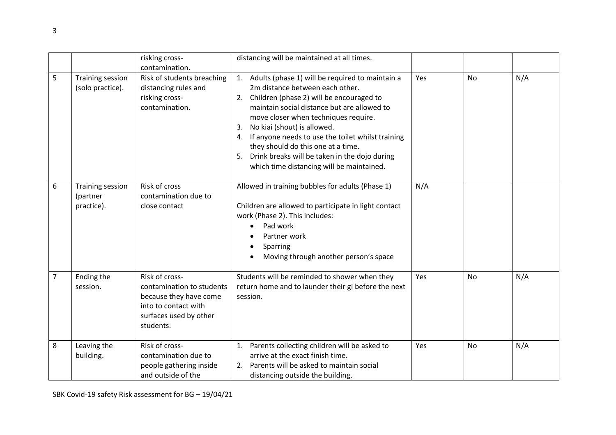|                |                                             | risking cross-<br>contamination.                                                                                                     | distancing will be maintained at all times.                                                                                                                                                                                                                                                                                                                                                                                                                        |     |           |     |
|----------------|---------------------------------------------|--------------------------------------------------------------------------------------------------------------------------------------|--------------------------------------------------------------------------------------------------------------------------------------------------------------------------------------------------------------------------------------------------------------------------------------------------------------------------------------------------------------------------------------------------------------------------------------------------------------------|-----|-----------|-----|
| 5              | <b>Training session</b><br>(solo practice). | Risk of students breaching<br>distancing rules and<br>risking cross-<br>contamination.                                               | 1. Adults (phase 1) will be required to maintain a<br>2m distance between each other.<br>2. Children (phase 2) will be encouraged to<br>maintain social distance but are allowed to<br>move closer when techniques require.<br>No kiai (shout) is allowed.<br>3.<br>If anyone needs to use the toilet whilst training<br>4.<br>they should do this one at a time.<br>5. Drink breaks will be taken in the dojo during<br>which time distancing will be maintained. | Yes | No        | N/A |
| 6              | Training session<br>(partner<br>practice).  | Risk of cross<br>contamination due to<br>close contact                                                                               | Allowed in training bubbles for adults (Phase 1)<br>Children are allowed to participate in light contact<br>work (Phase 2). This includes:<br>Pad work<br>Partner work<br>Sparring<br>Moving through another person's space                                                                                                                                                                                                                                        | N/A |           |     |
| $\overline{7}$ | Ending the<br>session.                      | Risk of cross-<br>contamination to students<br>because they have come<br>into to contact with<br>surfaces used by other<br>students. | Students will be reminded to shower when they<br>return home and to launder their gi before the next<br>session.                                                                                                                                                                                                                                                                                                                                                   | Yes | No        | N/A |
| 8              | Leaving the<br>building.                    | Risk of cross-<br>contamination due to<br>people gathering inside<br>and outside of the                                              | Parents collecting children will be asked to<br>1.<br>arrive at the exact finish time.<br>Parents will be asked to maintain social<br>2.<br>distancing outside the building.                                                                                                                                                                                                                                                                                       | Yes | <b>No</b> | N/A |

SBK Covid-19 safety Risk assessment for BG – 19/04/21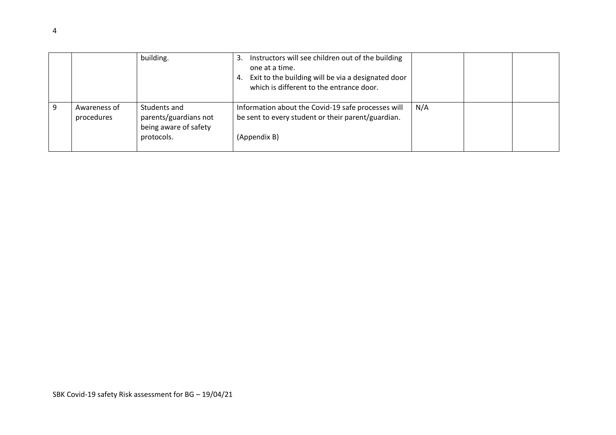|                            | building.                                                                    | Instructors will see children out of the building<br>3.<br>one at a time.<br>Exit to the building will be via a designated door<br>4.<br>which is different to the entrance door. |     |  |
|----------------------------|------------------------------------------------------------------------------|-----------------------------------------------------------------------------------------------------------------------------------------------------------------------------------|-----|--|
| Awareness of<br>procedures | Students and<br>parents/guardians not<br>being aware of safety<br>protocols. | Information about the Covid-19 safe processes will<br>be sent to every student or their parent/guardian.<br>(Appendix B)                                                          | N/A |  |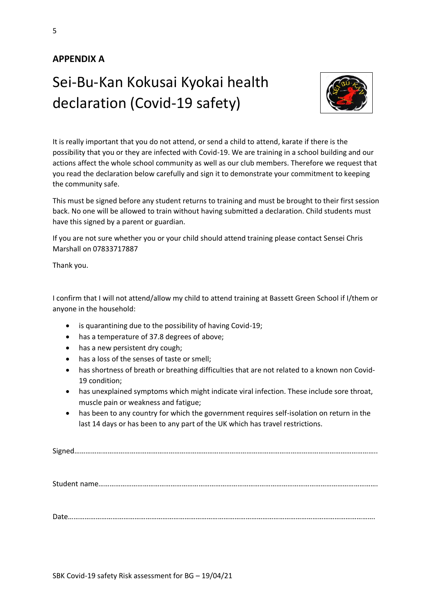### **APPENDIX A**

# Sei-Bu-Kan Kokusai Kyokai health declaration (Covid-19 safety)



It is really important that you do not attend, or send a child to attend, karate if there is the possibility that you or they are infected with Covid-19. We are training in a school building and our actions affect the whole school community as well as our club members. Therefore we request that you read the declaration below carefully and sign it to demonstrate your commitment to keeping the community safe.

This must be signed before any student returns to training and must be brought to their first session back. No one will be allowed to train without having submitted a declaration. Child students must have this signed by a parent or guardian.

If you are not sure whether you or your child should attend training please contact Sensei Chris Marshall on 07833717887

Thank you.

I confirm that I will not attend/allow my child to attend training at Bassett Green School if I/them or anyone in the household:

- is quarantining due to the possibility of having Covid-19;
- has a temperature of 37.8 degrees of above;
- has a new persistent dry cough;
- has a loss of the senses of taste or smell;
- has shortness of breath or breathing difficulties that are not related to a known non Covid-19 condition;
- has unexplained symptoms which might indicate viral infection. These include sore throat, muscle pain or weakness and fatigue;
- has been to any country for which the government requires self-isolation on return in the last 14 days or has been to any part of the UK which has travel restrictions.

Signed………………………………………………………………………………………………………………………………………………..

Student name…………………………………………………………………………………………………………………………………….

Date………………………………………………………………………………………………………………………………………………….